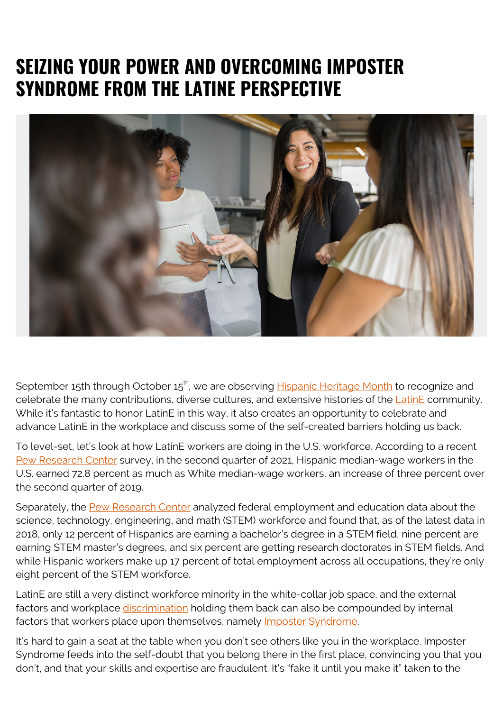## **SEIZING YOUR POWER AND OVERCOMING IMPOSTER SYNDROME FROM THE LATINE PERSPECTIVE**



September 15th through October 15<sup>th</sup>, we are observing **Hispanic Heritage Month** to recognize and celebrate the many contributions, diverse cultures, and extensive histories of the **LatinE** community. While it's fantastic to honor LatinE in this way, it also creates an opportunity to celebrate and advance LatinE in the workplace and discuss some of the self-created barriers holding us back.

To level-set, let's look at how LatinE workers are doing in the U.S. workforce. According to a recent [Pew Research Center](https://www.pewresearch.org/fact-tank/2021/09/07/despite-the-pandemic-wage-growth-held-firm-for-most-u-s-workers-with-little-effect-on-inequality/) survey, in the second quarter of 2021, Hispanic median-wage workers in the U.S. earned 72.8 percent as much as White median-wage workers, an increase of three percent over the second quarter of 2019.

Separately, the [Pew Research Center](https://www.pewresearch.org/science/2021/04/01/stem-jobs-see-uneven-progress-in-increasing-gender-racial-and-ethnic-diversity/) analyzed federal employment and education data about the science, technology, engineering, and math (STEM) workforce and found that, as of the latest data in 2018, only 12 percent of Hispanics are earning a bachelor's degree in a STEM field, nine percent are earning STEM master's degrees, and six percent are getting research doctorates in STEM fields. And while Hispanic workers make up 17 percent of total employment across all occupations, they're only eight percent of the STEM workforce.

LatinE are still a very distinct workforce minority in the white-collar job space, and the external factors and workplace [discrimination](https://www.pewresearch.org/fact-tank/2020/07/22/before-covid-19-many-latinos-worried-about-their-place-in-america-and-had-experienced-discrimination/) holding them back can also be compounded by internal factors that workers place upon themselves, namely [Imposter Syndrome](https://www.apa.org/monitor/2021/06/cover-impostor-phenomenon).

It's hard to gain a seat at the table when you don't see others like you in the workplace. Imposter Syndrome feeds into the self-doubt that you belong there in the first place, convincing you that you don't, and that your skills and expertise are fraudulent. It's "fake it until you make it" taken to the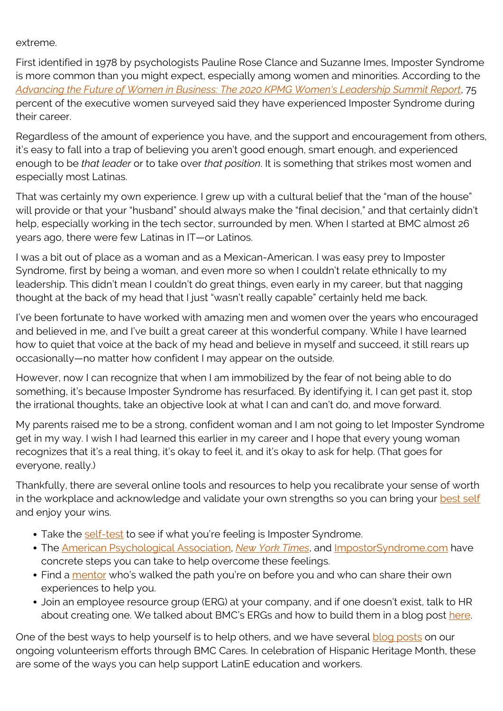extreme.

First identified in 1978 by psychologists Pauline Rose Clance and Suzanne Imes, Imposter Syndrome is more common than you might expect, especially among women and minorities. According to the *[Advancing the Future of Women in Business: The 2020 KPMG Women's Leadership Summit Report](https://womensleadership.kpmg.us/summit/kpmg-womens-leadership-report-2020.html)*, 75 percent of the executive women surveyed said they have experienced Imposter Syndrome during their career.

Regardless of the amount of experience you have, and the support and encouragement from others, it's easy to fall into a trap of believing you aren't good enough, smart enough, and experienced enough to be *that leader* or to take over *that position*. It is something that strikes most women and especially most Latinas.

That was certainly my own experience. I grew up with a cultural belief that the "man of the house" will provide or that your "husband" should always make the "final decision," and that certainly didn't help, especially working in the tech sector, surrounded by men. When I started at BMC almost 26 years ago, there were few Latinas in IT—or Latinos.

I was a bit out of place as a woman and as a Mexican-American. I was easy prey to Imposter Syndrome, first by being a woman, and even more so when I couldn't relate ethnically to my leadership. This didn't mean I couldn't do great things, even early in my career, but that nagging thought at the back of my head that I just "wasn't really capable" certainly held me back.

I've been fortunate to have worked with amazing men and women over the years who encouraged and believed in me, and I've built a great career at this wonderful company. While I have learned how to quiet that voice at the back of my head and believe in myself and succeed, it still rears up occasionally—no matter how confident I may appear on the outside.

However, now I can recognize that when I am immobilized by the fear of not being able to do something, it's because Imposter Syndrome has resurfaced. By identifying it, I can get past it, stop the irrational thoughts, take an objective look at what I can and can't do, and move forward.

My parents raised me to be a strong, confident woman and I am not going to let Imposter Syndrome get in my way. I wish I had learned this earlier in my career and I hope that every young woman recognizes that it's a real thing, it's okay to feel it, and it's okay to ask for help. (That goes for everyone, really.)

Thankfully, there are several online tools and resources to help you recalibrate your sense of worth in the workplace and acknowledge and validate your own strengths so you can bring your [best self](https://www.bmc.com/blogs/world-health-day-resilient-workforce/) and enjoy your wins.

- Take the [self-test](https://www.paulineroseclance.com/pdf/IPTestandscoring.pdf) to see if what you're feeling is Imposter Syndrome.
- The [American Psychological Association](https://www.apa.org/monitor/2021/06/cover-impostor-phenomenon), *[New York Times](https://www.nytimes.com/guides/working-womans-handbook/overcome-impostor-syndrome)*, and *[ImpostorSyndrome.com](https://web.archive.org/web/20210914155113/https://impostorsyndrome.com/10-steps-overcome-impostor/)* have concrete steps you can take to help overcome these feelings.
- Find a [mentor](https://www.bmc.com/blogs/iwd-mentorship-and-sponsorship/) who's walked the path you're on before you and who can share their own experiences to help you.
- Join an employee resource group (ERG) at your company, and if one doesn't exist, talk to HR about creating one. We talked about BMC's ERGs and how to build them in a blog post [here.](https://blogs.bmc.com/blogs/authenticity-in-workplace-pride-and-beyond/)

One of the best ways to help yourself is to help others, and we have several [blog posts](https://blogs.bmc.com/blogs/tags/dei) on our ongoing volunteerism efforts through BMC Cares. In celebration of Hispanic Heritage Month, these are some of the ways you can help support LatinE education and workers.